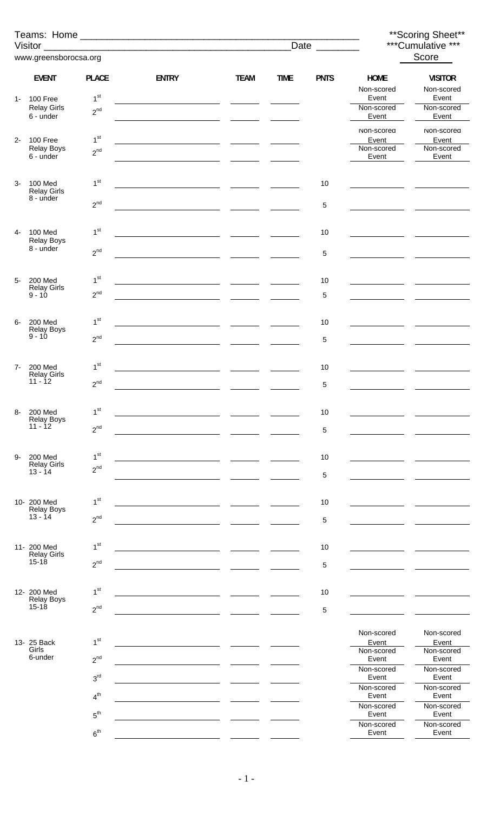|       |                                           |                                    |                                                      |                          |             | Date _________ |                           | ** Scoring Sheet**<br>***Cumulative *** |  |
|-------|-------------------------------------------|------------------------------------|------------------------------------------------------|--------------------------|-------------|----------------|---------------------------|-----------------------------------------|--|
|       | www.greensborocsa.org                     |                                    |                                                      |                          |             |                | Score                     |                                         |  |
|       | <b>EVENT</b>                              | <b>PLACE</b>                       | <b>ENTRY</b>                                         | <b>TEAM</b>              | <b>TIME</b> | <b>PNTS</b>    | <b>HOME</b><br>Non-scored | <b>VISITOR</b><br>Non-scored            |  |
| $1 -$ | 100 Free                                  | 1 <sup>st</sup>                    | <u> 1989 - Andrea Station Barbara, amerikan per</u>  | <u> London Communica</u> |             |                | Event                     | Event                                   |  |
|       | <b>Relay Girls</b><br>6 - under           | $2^{nd}$                           |                                                      |                          |             |                | Non-scored<br>Event       | Non-scored<br>Event                     |  |
|       |                                           |                                    |                                                      |                          |             |                | Non-scored                | Non-scored                              |  |
| $2 -$ | 100 Free<br><b>Relay Boys</b>             | 1 <sup>st</sup><br>2 <sup>nd</sup> |                                                      | <b>Contract Contract</b> |             |                | Event<br>Non-scored       | Event<br>Non-scored                     |  |
|       | 6 - under                                 |                                    |                                                      |                          |             |                | Event                     | Event                                   |  |
| $3-$  | 100 Med                                   | 1 <sup>st</sup>                    | <u> 1980 - Jan Barnett, fransk politik (d. 1980)</u> |                          |             | 10             |                           |                                         |  |
|       | <b>Relay Girls</b><br>8 - under           |                                    |                                                      |                          |             |                |                           |                                         |  |
|       |                                           | $2^{nd}$                           |                                                      |                          |             | 5              |                           |                                         |  |
| 4-    | 100 Med                                   | 1 <sup>st</sup>                    |                                                      |                          |             | 10             |                           |                                         |  |
|       | <b>Relay Boys</b><br>8 - under            | $2^{nd}$                           |                                                      |                          |             | 5              |                           |                                         |  |
|       |                                           |                                    |                                                      |                          |             |                |                           |                                         |  |
| $5-$  | <b>200 Med</b><br><b>Relay Girls</b>      | 1 <sup>st</sup>                    |                                                      |                          |             | 10             |                           |                                         |  |
|       | $9 - 10$                                  | $2^{nd}$                           |                                                      |                          |             | 5              |                           |                                         |  |
| 6-    | 200 Med                                   | 1 <sup>st</sup>                    | <u> 1980 - Jan Samuel Barbara, martin a</u>          |                          |             | 10             |                           |                                         |  |
|       | <b>Relay Boys</b><br>$9 - 10$             | $2^{nd}$                           |                                                      |                          |             | 5              |                           |                                         |  |
|       |                                           |                                    |                                                      |                          |             |                |                           |                                         |  |
| $7-$  | 200 Med<br><b>Relay Girls</b>             | 1 <sup>st</sup>                    |                                                      |                          |             | 10             |                           |                                         |  |
|       | $11 - 12$                                 | $2^{nd}$                           |                                                      |                          |             | 5              |                           |                                         |  |
| 8-    | <b>200 Med</b>                            | 1 <sup>st</sup>                    |                                                      |                          |             | 10             |                           |                                         |  |
|       | <b>Relay Boys</b><br>$11 - 12$            | $2^{nd}$                           |                                                      |                          |             | 5              |                           |                                         |  |
|       |                                           |                                    |                                                      |                          |             |                |                           |                                         |  |
| 9-    | <b>200 Med</b><br><b>Relay Girls</b>      | 1 <sup>st</sup>                    |                                                      |                          |             | 10             |                           |                                         |  |
|       | $13 - 14$                                 | $2^{nd}$                           |                                                      |                          |             | 5              |                           |                                         |  |
|       | 10- 200 Med                               | 1 <sup>st</sup>                    |                                                      |                          |             | 10             |                           |                                         |  |
|       | <b>Relay Boys</b><br>$13 - 14$            | $2^{nd}$                           |                                                      |                          |             |                |                           |                                         |  |
|       |                                           |                                    |                                                      |                          |             | 5              |                           |                                         |  |
|       | 11- 200 Med<br><b>Relay Girls</b>         | 1 <sup>st</sup>                    |                                                      |                          |             | 10             |                           |                                         |  |
|       | $15 - 18$                                 | $2^{nd}$                           |                                                      |                          |             | 5              |                           |                                         |  |
|       |                                           |                                    |                                                      |                          |             |                |                           |                                         |  |
|       | 12- 200 Med<br><b>Relay Boys</b><br>15-18 | 1 <sup>st</sup>                    |                                                      |                          |             | 10             |                           |                                         |  |
|       |                                           | $2^{nd}$                           |                                                      |                          |             | 5              |                           |                                         |  |
|       | 13- 25 Back                               | 1 <sup>st</sup>                    |                                                      |                          |             |                | Non-scored<br>Event       | Non-scored<br>Event                     |  |
|       | Girls<br>6-under                          | $2^{nd}$                           |                                                      |                          |             |                | Non-scored<br>Event       | Non-scored<br>Event                     |  |
|       |                                           | 3 <sup>rd</sup>                    |                                                      |                          |             |                | Non-scored<br>Event       | Non-scored<br>Event                     |  |
|       |                                           | 4 <sup>th</sup>                    |                                                      |                          |             |                | Non-scored<br>Event       | Non-scored<br>Event                     |  |
|       |                                           | 5 <sup>th</sup>                    |                                                      |                          |             |                | Non-scored<br>Event       | Non-scored<br>Event                     |  |
|       |                                           | 6 <sup>th</sup>                    |                                                      |                          |             |                | Non-scored<br>Event       | Non-scored<br>Event                     |  |
|       |                                           |                                    |                                                      |                          |             |                |                           |                                         |  |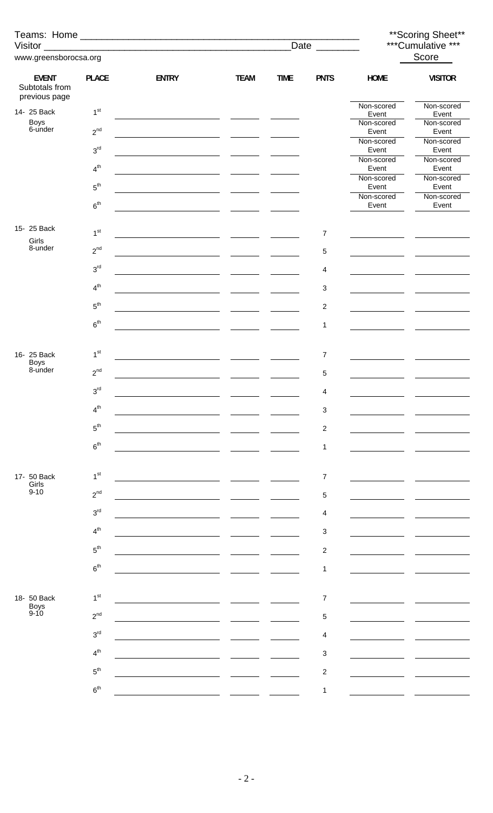|                                                 |                 |              |             |             |                               | ** Scoring Sheet**  |                     |  |
|-------------------------------------------------|-----------------|--------------|-------------|-------------|-------------------------------|---------------------|---------------------|--|
| Visitor _                                       |                 |              |             |             | Date $\overline{\phantom{a}}$ |                     | ***Cumulative ***   |  |
| www.greensborocsa.org                           |                 |              |             |             |                               |                     | Score               |  |
| <b>EVENT</b><br>Subtotals from<br>previous page | <b>PLACE</b>    | <b>ENTRY</b> | <b>TEAM</b> | <b>TIME</b> | <b>PNTS</b>                   | <b>HOME</b>         | <b>VISITOR</b>      |  |
| 14- 25 Back                                     | 1 <sup>st</sup> |              |             |             |                               | Non-scored<br>Event | Non-scored<br>Event |  |
| Boys<br>6-under                                 | $2^{nd}$        |              |             |             |                               | Non-scored<br>Event | Non-scored<br>Event |  |
|                                                 | $3^{\text{rd}}$ |              |             |             |                               | Non-scored<br>Event | Non-scored<br>Event |  |
|                                                 | $4^{\text{th}}$ |              |             |             |                               | Non-scored<br>Event | Non-scored<br>Event |  |
|                                                 | $5^{\text{th}}$ |              |             |             |                               | Non-scored<br>Event | Non-scored<br>Event |  |
|                                                 | $6^{\text{th}}$ |              |             |             |                               | Non-scored<br>Event | Non-scored<br>Event |  |
| 15- 25 Back                                     |                 |              |             |             |                               |                     |                     |  |
| Girls<br>8-under                                | 1 <sup>st</sup> |              |             |             | $\boldsymbol{7}$              |                     |                     |  |
|                                                 | $2^{nd}$        |              |             |             | 5                             |                     |                     |  |
|                                                 | $3^{\rm rd}$    |              |             |             | 4                             |                     |                     |  |
|                                                 | $4^{\text{th}}$ |              |             |             | 3                             |                     |                     |  |
|                                                 | $5^{\text{th}}$ |              |             |             | $\overline{\mathbf{c}}$       |                     |                     |  |
|                                                 | 6 <sup>th</sup> |              |             |             | 1                             |                     |                     |  |
| 16- 25 Back                                     | 1 <sup>st</sup> |              |             |             | $\overline{7}$                |                     |                     |  |
| <b>Boys</b><br>8-under                          | $2^{nd}$        |              |             |             | 5                             |                     |                     |  |
|                                                 | $3^{\rm rd}$    |              |             |             | $\Lambda$                     |                     |                     |  |
|                                                 | 4 <sup>th</sup> |              |             |             | 3                             |                     |                     |  |
|                                                 | $5^{\rm th}$    |              |             |             | $\overline{\mathbf{c}}$       |                     |                     |  |
|                                                 | 6 <sup>th</sup> |              |             |             | $\mathbf 1$                   |                     |                     |  |
|                                                 |                 |              |             |             |                               |                     |                     |  |
| 17- 50 Back<br>Girls<br>$9 - 10$                | 1 <sup>st</sup> |              |             |             | $\overline{\mathcal{I}}$      |                     |                     |  |
|                                                 | $2^{nd}$        |              |             |             | 5                             |                     |                     |  |
|                                                 | $3^{\text{rd}}$ |              |             |             | 4                             |                     |                     |  |
|                                                 | 4 <sup>th</sup> |              |             |             | $\ensuremath{\mathsf{3}}$     |                     |                     |  |
|                                                 | $5^{\text{th}}$ |              |             |             | $\overline{c}$                |                     |                     |  |
|                                                 | $6^{\rm th}$    |              |             |             | 1                             |                     |                     |  |
| 18- 50 Back                                     | 1 <sup>st</sup> |              |             |             | $\overline{7}$                |                     |                     |  |
| Boys<br>9-10                                    | $2^{nd}$        |              |             |             | 5                             |                     |                     |  |
|                                                 | 3 <sup>rd</sup> |              |             |             | 4                             |                     |                     |  |
|                                                 | 4 <sup>th</sup> |              |             |             | 3                             |                     |                     |  |
|                                                 | $5^{\text{th}}$ |              |             |             | $\overline{\mathbf{c}}$       |                     |                     |  |
|                                                 | $6^{\rm th}$    |              |             |             | 1                             |                     |                     |  |
|                                                 |                 |              |             |             |                               |                     |                     |  |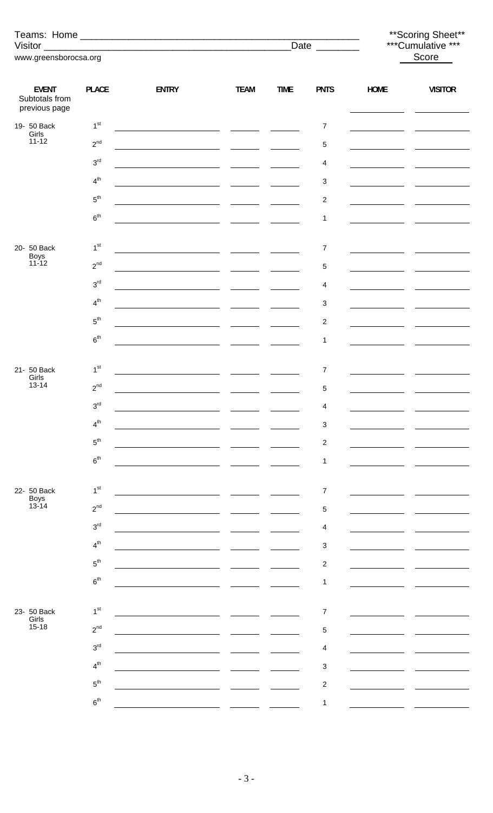|                                                 |                 |                                                                                                                      |                                                                                   |             | Date $\_\_$               |                   | **Scoring Sheet**<br>***Cumulative *** |  |  |
|-------------------------------------------------|-----------------|----------------------------------------------------------------------------------------------------------------------|-----------------------------------------------------------------------------------|-------------|---------------------------|-------------------|----------------------------------------|--|--|
| www.greensborocsa.org                           |                 |                                                                                                                      |                                                                                   |             |                           |                   | Score                                  |  |  |
|                                                 |                 |                                                                                                                      |                                                                                   |             |                           |                   |                                        |  |  |
| <b>EVENT</b><br>Subtotals from<br>previous page | <b>PLACE</b>    | <b>ENTRY</b>                                                                                                         | <b>TEAM</b>                                                                       | <b>TIME</b> | <b>PNTS</b>               | <b>HOME</b><br>ш. | <b>VISITOR</b>                         |  |  |
| 19- 50 Back<br>Girls                            | 1 <sup>st</sup> |                                                                                                                      |                                                                                   |             | $\overline{7}$            |                   |                                        |  |  |
| $11 - 12$                                       | $2^{nd}$        |                                                                                                                      |                                                                                   |             | $\,$ 5 $\,$               |                   |                                        |  |  |
|                                                 | $3^{\rm rd}$    |                                                                                                                      |                                                                                   |             | 4                         |                   |                                        |  |  |
|                                                 | $4^{th}$        |                                                                                                                      |                                                                                   |             | 3                         |                   |                                        |  |  |
|                                                 | $5^{\text{th}}$ |                                                                                                                      |                                                                                   |             | $\overline{c}$            |                   |                                        |  |  |
|                                                 | 6 <sup>th</sup> | <u> 1980 - Jan Samuel Barbara, martin a shekara 1980 - Shekara 1980 - Shekara 1980 - Shekara 1980 - Shekara 1980</u> |                                                                                   |             | 1                         |                   |                                        |  |  |
|                                                 |                 |                                                                                                                      |                                                                                   |             |                           |                   |                                        |  |  |
| 20- 50 Back<br>Boys<br>11-12                    | 1 <sup>st</sup> |                                                                                                                      | <u>and the second property</u>                                                    |             | $\overline{7}$            |                   |                                        |  |  |
|                                                 | $2^{nd}$        | <u> 1980 - Jan James James III, primeirant politik (</u>                                                             |                                                                                   |             | $\sqrt{5}$                |                   |                                        |  |  |
|                                                 | 3 <sup>rd</sup> |                                                                                                                      |                                                                                   |             | 4                         |                   |                                        |  |  |
|                                                 | $4^{th}$        |                                                                                                                      | $\frac{1}{\sqrt{1-\frac{1}{2}}}\left( \frac{1}{\sqrt{1-\frac{1}{2}}}\right) ^{2}$ |             | 3                         |                   |                                        |  |  |
|                                                 | $5^{\rm th}$    |                                                                                                                      |                                                                                   |             | $\overline{c}$            |                   |                                        |  |  |
|                                                 | 6 <sup>th</sup> | <u> 1990 - Jan James James Jan James James Jan James James James James James James James James James James James</u> |                                                                                   |             | 1                         |                   |                                        |  |  |
|                                                 |                 |                                                                                                                      |                                                                                   |             |                           |                   |                                        |  |  |
| 21- 50 Back<br>Girls<br>$13 - 14$               | 1 <sup>st</sup> |                                                                                                                      |                                                                                   |             | $\overline{7}$            |                   |                                        |  |  |
|                                                 | $2^{nd}$        |                                                                                                                      |                                                                                   |             | $\mathbf 5$               |                   |                                        |  |  |
|                                                 | 3 <sup>rd</sup> |                                                                                                                      |                                                                                   |             | 4                         |                   |                                        |  |  |
|                                                 | 4 <sup>th</sup> |                                                                                                                      |                                                                                   |             | $\ensuremath{\mathsf{3}}$ |                   |                                        |  |  |
|                                                 | $5^{\text{th}}$ |                                                                                                                      |                                                                                   |             | $\overline{c}$            |                   |                                        |  |  |
|                                                 | 6 <sup>th</sup> |                                                                                                                      |                                                                                   |             | 1                         |                   |                                        |  |  |
| 22- 50 Back                                     | 1 <sup>st</sup> |                                                                                                                      |                                                                                   |             | $\overline{7}$            |                   |                                        |  |  |
| Boys<br>13-14                                   | $2^{nd}$        |                                                                                                                      |                                                                                   |             | $\mathbf 5$               |                   |                                        |  |  |
|                                                 | 3 <sup>rd</sup> |                                                                                                                      |                                                                                   |             | 4                         |                   |                                        |  |  |
|                                                 | 4 <sup>th</sup> |                                                                                                                      |                                                                                   |             | 3                         |                   |                                        |  |  |
|                                                 | $5^{\text{th}}$ |                                                                                                                      |                                                                                   |             | $\overline{\mathbf{c}}$   |                   |                                        |  |  |
|                                                 | 6 <sup>th</sup> |                                                                                                                      |                                                                                   |             | 1                         |                   |                                        |  |  |
|                                                 |                 |                                                                                                                      |                                                                                   |             |                           |                   |                                        |  |  |
| 23- 50 Back<br>Girls                            | 1 <sup>st</sup> |                                                                                                                      |                                                                                   |             | $\overline{7}$            |                   |                                        |  |  |
| $15 - 18$                                       | $2^{nd}$        |                                                                                                                      |                                                                                   |             | $\mathbf 5$               |                   |                                        |  |  |
|                                                 | $3^{\text{rd}}$ |                                                                                                                      |                                                                                   |             | 4                         |                   |                                        |  |  |
|                                                 | 4 <sup>th</sup> |                                                                                                                      |                                                                                   |             | 3                         |                   |                                        |  |  |
|                                                 | $5^{\text{th}}$ |                                                                                                                      |                                                                                   |             | $\boldsymbol{2}$          |                   |                                        |  |  |
|                                                 | 6 <sup>th</sup> |                                                                                                                      |                                                                                   |             | 1                         |                   |                                        |  |  |
|                                                 |                 |                                                                                                                      |                                                                                   |             |                           |                   |                                        |  |  |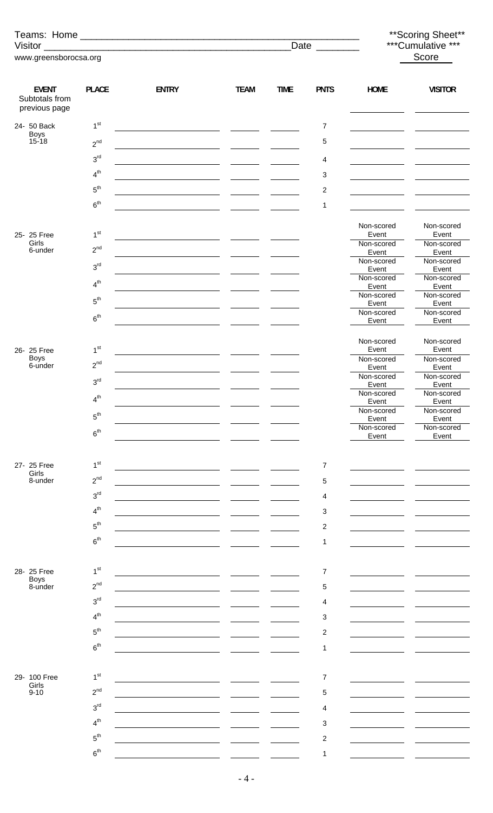|                                                 |                                 |              |             |             |                     | ** Scoring Sheet**  |                     |  |
|-------------------------------------------------|---------------------------------|--------------|-------------|-------------|---------------------|---------------------|---------------------|--|
| Visitor                                         |                                 |              |             | Date        | ***Cumulative ***   |                     |                     |  |
| www.greensborocsa.org                           |                                 |              |             |             | Score               |                     |                     |  |
|                                                 |                                 |              |             |             |                     |                     |                     |  |
| <b>EVENT</b><br>Subtotals from<br>previous page | <b>PLACE</b>                    | <b>ENTRY</b> | <b>TEAM</b> | <b>TIME</b> | <b>PNTS</b>         | HOME                | <b>VISITOR</b>      |  |
| 24- 50 Back                                     | 1 <sup>st</sup>                 |              |             |             | $\overline{7}$      |                     |                     |  |
| Boys<br>15-18                                   | $2^{nd}$                        |              |             |             | 5                   |                     |                     |  |
|                                                 | $3^{\text{rd}}$                 |              |             |             | 4                   |                     |                     |  |
|                                                 | $4^{th}$                        |              |             |             | 3                   |                     |                     |  |
|                                                 | $5^{\rm th}$                    |              |             |             | $\overline{c}$      |                     |                     |  |
|                                                 | 6 <sup>th</sup>                 |              |             |             | 1                   |                     |                     |  |
| 25-25 Free                                      | 1 <sup>st</sup>                 |              |             |             |                     | Non-scored<br>Event | Non-scored<br>Event |  |
| Girls<br>6-under                                | $2^{nd}$                        |              |             |             |                     | Non-scored<br>Event | Non-scored<br>Event |  |
|                                                 | 3 <sup>rd</sup>                 |              |             |             |                     | Non-scored<br>Event | Non-scored<br>Event |  |
|                                                 | 4 <sup>th</sup>                 |              |             |             |                     | Non-scored<br>Event | Non-scored<br>Event |  |
|                                                 | $5^{\text{th}}$                 |              |             |             |                     | Non-scored<br>Event | Non-scored<br>Event |  |
|                                                 | 6 <sup>th</sup>                 |              |             |             |                     | Non-scored<br>Event | Non-scored<br>Event |  |
|                                                 |                                 |              |             |             |                     | Non-scored          | Non-scored          |  |
| 26- 25 Free<br><b>Boys</b>                      | 1 <sup>st</sup><br>$2^{nd}$     |              |             |             |                     | Event<br>Non-scored | Event<br>Non-scored |  |
| 6-under                                         | $3^{\text{rd}}$                 |              |             |             |                     | Event<br>Non-scored | Event<br>Non-scored |  |
|                                                 |                                 |              |             |             |                     | Event<br>Non-scored | Event<br>Non-scored |  |
|                                                 | 4 <sup>th</sup>                 |              |             |             |                     | Event<br>Non-scored | Event<br>Non-scored |  |
|                                                 | $5^{\rm th}$                    |              |             |             |                     | Event<br>Non-scored | Event<br>Non-scored |  |
|                                                 | 6 <sup>th</sup>                 |              |             |             |                     | Event               | Event               |  |
| 27- 25 Free                                     | 1 <sup>st</sup>                 |              |             |             | $\overline{7}$      |                     |                     |  |
| Girls<br>8-under                                | $2^{nd}$                        |              |             |             | 5                   |                     |                     |  |
|                                                 | 3 <sup>rd</sup>                 |              |             |             | 4                   |                     |                     |  |
|                                                 | 4 <sup>th</sup>                 |              |             |             | 3                   |                     |                     |  |
|                                                 | $5^{\text{th}}$                 |              |             |             | $\overline{c}$      |                     |                     |  |
|                                                 | 6 <sup>th</sup>                 |              |             |             | 1                   |                     |                     |  |
|                                                 |                                 |              |             |             |                     |                     |                     |  |
| 28- 25 Free                                     | 1 <sup>st</sup>                 |              |             |             | 7                   |                     |                     |  |
| Boys<br>8-under                                 | $2^{nd}$                        |              |             |             | 5                   |                     |                     |  |
|                                                 | $3^{\text{rd}}$                 |              |             |             | 4                   |                     |                     |  |
|                                                 | 4 <sup>th</sup>                 |              |             |             | 3                   |                     |                     |  |
|                                                 | $5^{\rm th}$<br>6 <sup>th</sup> |              |             |             | $\overline{c}$<br>1 |                     |                     |  |
|                                                 |                                 |              |             |             |                     |                     |                     |  |
| 29- 100 Free                                    | 1 <sup>st</sup>                 |              |             |             | 7                   |                     |                     |  |
| Girls<br>$9 - 10$                               | $2^{nd}$                        |              |             |             | 5                   |                     |                     |  |
|                                                 | 3 <sup>rd</sup>                 |              |             |             | 4                   |                     |                     |  |
|                                                 | 4 <sup>th</sup>                 |              |             |             | 3                   |                     |                     |  |
|                                                 | $5^{\text{th}}$                 |              |             |             | $\overline{c}$      |                     |                     |  |
|                                                 | 6 <sup>th</sup>                 |              |             |             | 1                   |                     |                     |  |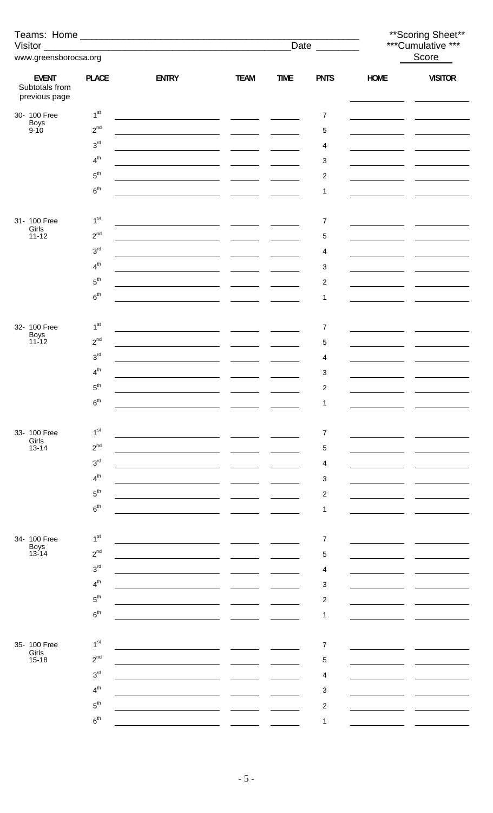|                                                 |                 |                                                                                                                       |                                                   |             |                         | ** Scoring Sheet** |                   |  |
|-------------------------------------------------|-----------------|-----------------------------------------------------------------------------------------------------------------------|---------------------------------------------------|-------------|-------------------------|--------------------|-------------------|--|
|                                                 |                 |                                                                                                                       |                                                   |             | Date $\_\_$             |                    | ***Cumulative *** |  |
| www.greensborocsa.org                           |                 |                                                                                                                       |                                                   |             |                         |                    | Score             |  |
| <b>EVENT</b><br>Subtotals from<br>previous page | <b>PLACE</b>    | <b>ENTRY</b>                                                                                                          | <b>TEAM</b>                                       | <b>TIME</b> | <b>PNTS</b>             | <b>HOME</b>        | <b>VISITOR</b>    |  |
| 30- 100 Free                                    | 1 <sup>st</sup> | <u> 1980 - Johann Barn, fransk politik (* 1901)</u>                                                                   |                                                   |             | 7                       |                    |                   |  |
| Boys<br>9-10                                    | $2^{nd}$        |                                                                                                                       |                                                   |             | 5                       |                    |                   |  |
|                                                 | $3^{\text{rd}}$ |                                                                                                                       | $\overline{\phantom{a}}$                          |             | 4                       |                    |                   |  |
|                                                 | $4^{th}$        |                                                                                                                       |                                                   |             | 3                       |                    |                   |  |
|                                                 | $5^{\rm th}$    |                                                                                                                       |                                                   |             | 2                       |                    |                   |  |
|                                                 | $6^{\rm th}$    |                                                                                                                       |                                                   |             | 1                       |                    |                   |  |
|                                                 |                 |                                                                                                                       |                                                   |             |                         |                    |                   |  |
| 31- 100 Free                                    | 1 <sup>st</sup> |                                                                                                                       |                                                   |             | 7                       |                    |                   |  |
| Girls<br>$11 - 12$                              | $2^{nd}$        | <u> 1989 - Johann Harry Harry Harry Harry Harry Harry Harry Harry Harry Harry Harry Harry Harry Harry Harry Harry</u> |                                                   |             | 5                       |                    |                   |  |
|                                                 | $3^{\text{rd}}$ |                                                                                                                       |                                                   |             |                         |                    |                   |  |
|                                                 | $4^{th}$        |                                                                                                                       |                                                   |             | 4                       |                    |                   |  |
|                                                 | $5^{\rm th}$    |                                                                                                                       |                                                   |             | 3                       |                    |                   |  |
|                                                 |                 |                                                                                                                       |                                                   |             | $\overline{\mathbf{c}}$ |                    |                   |  |
|                                                 | $6^{\rm th}$    | <u>and the state of the state</u>                                                                                     |                                                   |             | 1                       |                    |                   |  |
|                                                 |                 |                                                                                                                       |                                                   |             |                         |                    |                   |  |
| 32- 100 Free<br>Boys<br>11-12                   | 1 <sup>st</sup> | <u>and the second contract of the second second</u>                                                                   | <b>Contract Contract</b>                          |             | 7                       |                    |                   |  |
|                                                 | $2^{nd}$        |                                                                                                                       | $\frac{1}{2}$ and $\frac{1}{2}$ and $\frac{1}{2}$ |             | 5                       |                    |                   |  |
|                                                 | $3^{\text{rd}}$ |                                                                                                                       |                                                   |             | 4                       |                    |                   |  |
|                                                 | 4 <sup>th</sup> |                                                                                                                       |                                                   |             | 3                       |                    |                   |  |
|                                                 | 5 <sup>th</sup> |                                                                                                                       |                                                   |             | $\overline{c}$          |                    |                   |  |
|                                                 | 6 <sup>th</sup> |                                                                                                                       |                                                   |             | 1                       |                    |                   |  |
|                                                 |                 |                                                                                                                       |                                                   |             |                         |                    |                   |  |
| 33- 100 Free<br>Girls                           | 1 <sup>st</sup> |                                                                                                                       |                                                   |             | $\overline{7}$          |                    |                   |  |
| $13 - 14$                                       | $2^{nd}$        |                                                                                                                       |                                                   |             | 5                       |                    |                   |  |
|                                                 | 3 <sup>rd</sup> |                                                                                                                       |                                                   |             | 4                       |                    |                   |  |
|                                                 | 4 <sup>th</sup> |                                                                                                                       |                                                   |             | 3                       |                    |                   |  |
|                                                 | 5 <sup>th</sup> |                                                                                                                       |                                                   |             | $\overline{c}$          |                    |                   |  |
|                                                 | 6 <sup>th</sup> |                                                                                                                       |                                                   |             | 1                       |                    |                   |  |
|                                                 |                 |                                                                                                                       |                                                   |             |                         |                    |                   |  |
| 34- 100 Free                                    | 1 <sup>st</sup> |                                                                                                                       |                                                   |             | $\overline{7}$          |                    |                   |  |
| Boys<br>13-14                                   | $2^{nd}$        |                                                                                                                       |                                                   |             | 5                       |                    |                   |  |
|                                                 | 3 <sup>rd</sup> |                                                                                                                       |                                                   |             | 4                       |                    |                   |  |
|                                                 | 4 <sup>th</sup> |                                                                                                                       |                                                   |             | 3                       |                    |                   |  |
|                                                 | 5 <sup>th</sup> |                                                                                                                       |                                                   |             | $\overline{\mathbf{c}}$ |                    |                   |  |
|                                                 | 6 <sup>th</sup> |                                                                                                                       |                                                   |             | 1                       |                    |                   |  |
|                                                 |                 |                                                                                                                       |                                                   |             |                         |                    |                   |  |
| 35- 100 Free                                    | 1 <sup>st</sup> |                                                                                                                       |                                                   |             | $\overline{7}$          |                    |                   |  |
| Girls<br>$15 - 18$                              | $2^{nd}$        |                                                                                                                       |                                                   |             | 5                       |                    |                   |  |
|                                                 | 3 <sup>rd</sup> |                                                                                                                       |                                                   |             | 4                       |                    |                   |  |
|                                                 | 4 <sup>th</sup> |                                                                                                                       |                                                   |             | 3                       |                    |                   |  |
|                                                 | 5 <sup>th</sup> |                                                                                                                       |                                                   |             | $\overline{c}$          |                    |                   |  |
|                                                 | 6 <sup>th</sup> |                                                                                                                       |                                                   |             | 1                       |                    |                   |  |
|                                                 |                 |                                                                                                                       |                                                   |             |                         |                    |                   |  |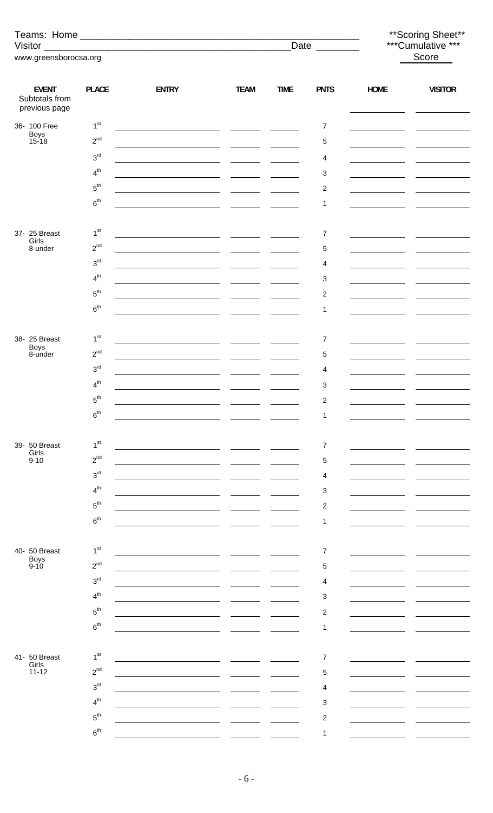|                                                 |                              |                                                        |                          |             |                           |                                            | ** Scoring Sheet**<br>***Cumulative *** |  |  |
|-------------------------------------------------|------------------------------|--------------------------------------------------------|--------------------------|-------------|---------------------------|--------------------------------------------|-----------------------------------------|--|--|
| www.greensborocsa.org                           |                              |                                                        |                          |             | Date ________             |                                            | Score                                   |  |  |
|                                                 |                              |                                                        |                          |             |                           |                                            |                                         |  |  |
| <b>EVENT</b><br>Subtotals from<br>previous page | <b>PLACE</b>                 | <b>ENTRY</b>                                           | <b>TEAM</b>              | <b>TIME</b> | <b>PNTS</b>               | <b>HOME</b>                                | <b>VISITOR</b>                          |  |  |
| 36- 100 Free                                    | 1 <sup>st</sup>              |                                                        |                          |             | $\overline{7}$            | the company of the company                 |                                         |  |  |
| Boys<br>15-18                                   | $2^{nd}$                     |                                                        |                          |             | $\mathbf 5$               |                                            |                                         |  |  |
|                                                 | $3^{\text{rd}}$              | <u> 1989 - Johann Barbara, martxa al</u>               |                          |             | 4                         | <u> 1989 - Johann Barbara, martin basa</u> |                                         |  |  |
|                                                 | $4^{th}$                     |                                                        |                          |             | 3                         |                                            |                                         |  |  |
|                                                 | $5^{\text{th}}$              | <u> 1989 - Johann Barbara, martin amerikan per</u>     |                          |             | $\overline{c}$            |                                            |                                         |  |  |
|                                                 | 6 <sup>th</sup>              |                                                        |                          |             | 1                         |                                            |                                         |  |  |
| 37- 25 Breast                                   | 1 <sup>st</sup>              |                                                        |                          |             | 7                         | <u> 1989 - Johann Barbara, martin a</u>    |                                         |  |  |
| Girls<br>8-under                                | $2^{nd}$                     |                                                        |                          |             | $\,$ 5 $\,$               |                                            |                                         |  |  |
|                                                 | $3^{\text{rd}}$              |                                                        |                          |             | 4                         |                                            |                                         |  |  |
|                                                 | $\boldsymbol{4}^{\text{th}}$ |                                                        |                          |             | 3                         |                                            |                                         |  |  |
|                                                 | $5^{\rm th}$                 | <u> 1980 - Jan Samuel Barbara, politik a politik (</u> |                          |             | $\overline{c}$            |                                            |                                         |  |  |
|                                                 | 6 <sup>th</sup>              |                                                        |                          |             | 1                         |                                            |                                         |  |  |
|                                                 |                              |                                                        |                          |             |                           |                                            |                                         |  |  |
| 38- 25 Breast<br>Boys<br>8-under                | 1 <sup>st</sup>              | <u> 1989 - Johann Barn, fransk politik (d. 1989)</u>   | $\overline{\phantom{a}}$ |             | $\overline{7}$            | the control of the control of the          |                                         |  |  |
|                                                 | $2^{nd}$                     |                                                        |                          |             | 5                         |                                            |                                         |  |  |
|                                                 | $3^{\rm rd}$                 |                                                        |                          |             | 4                         |                                            |                                         |  |  |
|                                                 | 4 <sup>th</sup>              |                                                        |                          |             | 3                         |                                            |                                         |  |  |
|                                                 | $5^{\rm th}$                 |                                                        |                          |             | $\boldsymbol{2}$          |                                            |                                         |  |  |
|                                                 | 6 <sup>th</sup>              |                                                        |                          |             | 1                         |                                            |                                         |  |  |
| 39- 50 Breast                                   | 1 <sup>st</sup>              |                                                        |                          |             | $\overline{7}$            |                                            |                                         |  |  |
| Girls<br>$9 - 10$                               | $2^{nd}$                     |                                                        |                          |             | 5                         |                                            |                                         |  |  |
|                                                 | 3 <sup>rd</sup>              |                                                        |                          |             | 4                         |                                            |                                         |  |  |
|                                                 | 4 <sup>th</sup>              |                                                        |                          |             | $\ensuremath{\mathsf{3}}$ |                                            |                                         |  |  |
|                                                 | $5^{\text{th}}$              |                                                        |                          |             | 2                         |                                            |                                         |  |  |
|                                                 | 6 <sup>th</sup>              |                                                        |                          |             | 1                         |                                            |                                         |  |  |
|                                                 |                              |                                                        |                          |             |                           |                                            |                                         |  |  |
| 40- 50 Breast                                   | 1 <sup>st</sup>              |                                                        |                          |             | $\overline{7}$            |                                            |                                         |  |  |
| <b>Boys</b><br>$9 - 10$                         | $2^{nd}$                     |                                                        |                          |             | 5                         |                                            |                                         |  |  |
|                                                 | 3 <sup>rd</sup>              |                                                        |                          |             | 4                         |                                            |                                         |  |  |
|                                                 | 4 <sup>th</sup>              |                                                        |                          |             | 3                         |                                            |                                         |  |  |
|                                                 | $5^{\text{th}}$              |                                                        |                          |             | $\overline{\mathbf{c}}$   |                                            |                                         |  |  |
|                                                 | 6 <sup>th</sup>              |                                                        |                          |             | 1                         |                                            |                                         |  |  |
|                                                 |                              |                                                        |                          |             |                           |                                            |                                         |  |  |
| 41- 50 Breast<br>Girls                          | 1 <sup>st</sup>              |                                                        |                          |             | $\overline{7}$            |                                            |                                         |  |  |
| $11 - 12$                                       | $2^{nd}$                     |                                                        |                          |             | 5                         |                                            |                                         |  |  |
|                                                 | 3 <sup>rd</sup>              |                                                        |                          |             | 4                         |                                            |                                         |  |  |
|                                                 | 4 <sup>th</sup>              |                                                        |                          |             | 3                         |                                            |                                         |  |  |
|                                                 | $5^{\text{th}}$              |                                                        |                          |             | $\overline{c}$            |                                            |                                         |  |  |
|                                                 | 6 <sup>th</sup>              |                                                        |                          |             | 1                         |                                            |                                         |  |  |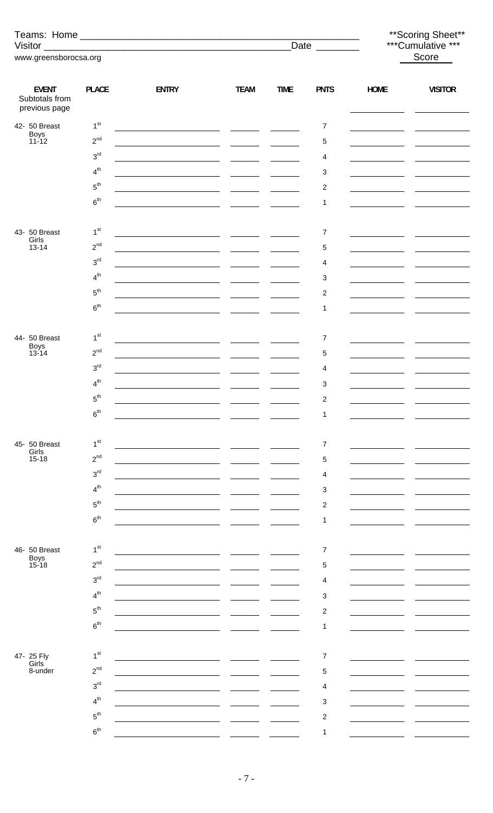|                                                 |                 |                                                                                                                       |                                                                                                                                                                                                                                      |             | Date ________           |                                                                                                                       | ** Scoring Sheet**<br>***Cumulative ***                                                                                                                                                                                              |
|-------------------------------------------------|-----------------|-----------------------------------------------------------------------------------------------------------------------|--------------------------------------------------------------------------------------------------------------------------------------------------------------------------------------------------------------------------------------|-------------|-------------------------|-----------------------------------------------------------------------------------------------------------------------|--------------------------------------------------------------------------------------------------------------------------------------------------------------------------------------------------------------------------------------|
| www.greensborocsa.org                           |                 |                                                                                                                       |                                                                                                                                                                                                                                      |             |                         | Score                                                                                                                 |                                                                                                                                                                                                                                      |
|                                                 |                 |                                                                                                                       |                                                                                                                                                                                                                                      |             |                         |                                                                                                                       |                                                                                                                                                                                                                                      |
| <b>EVENT</b><br>Subtotals from<br>previous page | <b>PLACE</b>    | <b>ENTRY</b>                                                                                                          | <b>TEAM</b>                                                                                                                                                                                                                          | <b>TIME</b> | <b>PNTS</b>             | <b>HOME</b>                                                                                                           | <b>VISITOR</b>                                                                                                                                                                                                                       |
| 42- 50 Breast                                   | 1 <sup>st</sup> |                                                                                                                       |                                                                                                                                                                                                                                      |             | 7                       | the control of the control of the                                                                                     |                                                                                                                                                                                                                                      |
| Boys<br>11-12                                   | $2^{nd}$        |                                                                                                                       |                                                                                                                                                                                                                                      |             | $\mathbf 5$             |                                                                                                                       |                                                                                                                                                                                                                                      |
|                                                 | 3 <sup>rd</sup> |                                                                                                                       |                                                                                                                                                                                                                                      |             | 4                       | <u> 1980 - Jan Barat, politik eta politik eta politik eta politik eta politik eta politik eta politik eta politik</u> |                                                                                                                                                                                                                                      |
|                                                 | 4 <sup>th</sup> |                                                                                                                       |                                                                                                                                                                                                                                      |             | 3                       |                                                                                                                       |                                                                                                                                                                                                                                      |
|                                                 | $5^{\text{th}}$ |                                                                                                                       |                                                                                                                                                                                                                                      |             | $\overline{2}$          | the company of the company of                                                                                         |                                                                                                                                                                                                                                      |
|                                                 | 6 <sup>th</sup> |                                                                                                                       |                                                                                                                                                                                                                                      |             | 1                       |                                                                                                                       |                                                                                                                                                                                                                                      |
|                                                 |                 |                                                                                                                       |                                                                                                                                                                                                                                      |             |                         |                                                                                                                       |                                                                                                                                                                                                                                      |
| 43- 50 Breast<br>Girls                          | 1 <sup>st</sup> | <u> 1989 - Jan Sarah Barat, masjid a shekara t</u>                                                                    |                                                                                                                                                                                                                                      |             | $\overline{7}$          |                                                                                                                       |                                                                                                                                                                                                                                      |
| $13 - 14$                                       | $2^{nd}$        | <u> 1989 - Johann Marie Barn, mars an t-Amerikaansk konst</u>                                                         |                                                                                                                                                                                                                                      |             | $\mathbf 5$             | the control of the control of the                                                                                     |                                                                                                                                                                                                                                      |
|                                                 | 3 <sup>rd</sup> | <u> 1980 - Jan Barnett, fransk politik (d. 1980)</u>                                                                  |                                                                                                                                                                                                                                      |             | 4                       |                                                                                                                       |                                                                                                                                                                                                                                      |
|                                                 | $4^{th}$        |                                                                                                                       |                                                                                                                                                                                                                                      |             | 3                       |                                                                                                                       |                                                                                                                                                                                                                                      |
|                                                 | $5^{\text{th}}$ |                                                                                                                       |                                                                                                                                                                                                                                      |             | $\overline{\mathbf{c}}$ |                                                                                                                       | <u>and the state of the state of the state of the state of the state of the state of the state of the state of the state of the state of the state of the state of the state of the state of the state of the state of the state</u> |
|                                                 | 6 <sup>th</sup> | <u> 1989 - Jan Stein Harry Stein Harry Stein Harry Stein Harry Stein Harry Stein Harry Stein Harry Stein Harry S</u>  | <u>and the company of the company of the company of the company of the company of the company of the company of the company of the company of the company of the company of the company of the company of the company of the com</u> |             | 1                       |                                                                                                                       |                                                                                                                                                                                                                                      |
|                                                 |                 |                                                                                                                       |                                                                                                                                                                                                                                      |             |                         |                                                                                                                       |                                                                                                                                                                                                                                      |
| 44- 50 Breast<br>Boys<br>13-14                  | 1 <sup>st</sup> |                                                                                                                       |                                                                                                                                                                                                                                      |             | $\overline{7}$          |                                                                                                                       |                                                                                                                                                                                                                                      |
|                                                 | $2^{nd}$        | <u> 1989 - Johann Marie Barn, mars eta inperiodo</u> r                                                                |                                                                                                                                                                                                                                      |             | 5                       |                                                                                                                       |                                                                                                                                                                                                                                      |
|                                                 | 3 <sup>rd</sup> | <u> 1989 - Johann Marie Barn, mars and de Branch and de Branch and de Branch and de Branch and de Branch and de B</u> |                                                                                                                                                                                                                                      |             | 4                       |                                                                                                                       |                                                                                                                                                                                                                                      |
|                                                 | 4 <sup>th</sup> |                                                                                                                       |                                                                                                                                                                                                                                      |             | 3                       |                                                                                                                       |                                                                                                                                                                                                                                      |
|                                                 | $5^{\text{th}}$ |                                                                                                                       |                                                                                                                                                                                                                                      |             | $\overline{c}$          |                                                                                                                       |                                                                                                                                                                                                                                      |
|                                                 | 6 <sup>th</sup> |                                                                                                                       |                                                                                                                                                                                                                                      |             | 1                       |                                                                                                                       |                                                                                                                                                                                                                                      |
| 45- 50 Breast                                   | 1 <sup>st</sup> |                                                                                                                       |                                                                                                                                                                                                                                      |             |                         |                                                                                                                       |                                                                                                                                                                                                                                      |
| Girls<br>$15 - 18$                              | $2^{nd}$        |                                                                                                                       |                                                                                                                                                                                                                                      |             | 7                       |                                                                                                                       |                                                                                                                                                                                                                                      |
|                                                 | 3 <sup>rd</sup> |                                                                                                                       |                                                                                                                                                                                                                                      |             | 5                       |                                                                                                                       |                                                                                                                                                                                                                                      |
|                                                 | 4 <sup>th</sup> |                                                                                                                       |                                                                                                                                                                                                                                      |             | 4                       |                                                                                                                       |                                                                                                                                                                                                                                      |
|                                                 | $5^{\text{th}}$ |                                                                                                                       |                                                                                                                                                                                                                                      |             | 3                       |                                                                                                                       |                                                                                                                                                                                                                                      |
|                                                 | 6 <sup>th</sup> |                                                                                                                       |                                                                                                                                                                                                                                      |             | $\overline{\mathbf{c}}$ |                                                                                                                       |                                                                                                                                                                                                                                      |
|                                                 |                 |                                                                                                                       |                                                                                                                                                                                                                                      |             | 1                       |                                                                                                                       |                                                                                                                                                                                                                                      |
| 46- 50 Breast                                   | 1 <sup>st</sup> |                                                                                                                       |                                                                                                                                                                                                                                      |             | $\overline{7}$          |                                                                                                                       |                                                                                                                                                                                                                                      |
| Boys<br>15-18                                   | $2^{nd}$        |                                                                                                                       |                                                                                                                                                                                                                                      |             | 5                       |                                                                                                                       |                                                                                                                                                                                                                                      |
|                                                 | 3 <sup>rd</sup> |                                                                                                                       |                                                                                                                                                                                                                                      |             | 4                       |                                                                                                                       |                                                                                                                                                                                                                                      |
|                                                 | 4 <sup>th</sup> |                                                                                                                       |                                                                                                                                                                                                                                      |             | 3                       |                                                                                                                       |                                                                                                                                                                                                                                      |
|                                                 | $5^{\text{th}}$ |                                                                                                                       |                                                                                                                                                                                                                                      |             | $\overline{c}$          |                                                                                                                       |                                                                                                                                                                                                                                      |
|                                                 | 6 <sup>th</sup> |                                                                                                                       |                                                                                                                                                                                                                                      |             | 1                       |                                                                                                                       |                                                                                                                                                                                                                                      |
|                                                 |                 |                                                                                                                       |                                                                                                                                                                                                                                      |             |                         |                                                                                                                       |                                                                                                                                                                                                                                      |
| 47- 25 Fly                                      | 1 <sup>st</sup> |                                                                                                                       |                                                                                                                                                                                                                                      |             | 7                       |                                                                                                                       |                                                                                                                                                                                                                                      |
| Girls<br>8-under                                | $2^{nd}$        |                                                                                                                       |                                                                                                                                                                                                                                      |             | 5                       |                                                                                                                       |                                                                                                                                                                                                                                      |
|                                                 | 3 <sup>rd</sup> |                                                                                                                       |                                                                                                                                                                                                                                      |             | 4                       |                                                                                                                       |                                                                                                                                                                                                                                      |
|                                                 | $4^{th}$        |                                                                                                                       |                                                                                                                                                                                                                                      |             | 3                       |                                                                                                                       |                                                                                                                                                                                                                                      |
|                                                 | $5^{\text{th}}$ |                                                                                                                       |                                                                                                                                                                                                                                      |             | $\overline{c}$          |                                                                                                                       |                                                                                                                                                                                                                                      |
|                                                 | 6 <sup>th</sup> |                                                                                                                       |                                                                                                                                                                                                                                      |             | 1                       |                                                                                                                       |                                                                                                                                                                                                                                      |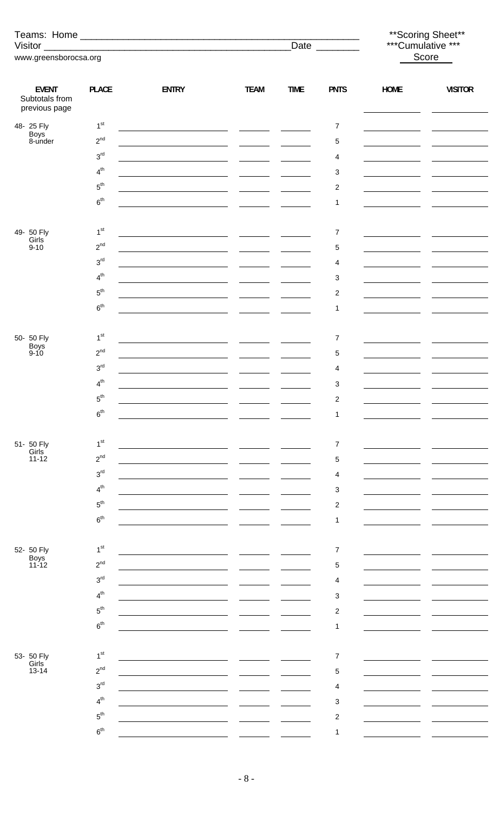|                                                 |                 |                                                                            |             |                                                   |                         |                                                                                                                      | ** Scoring Sheet**                                                                                                                                                                                                                                                                            |  |
|-------------------------------------------------|-----------------|----------------------------------------------------------------------------|-------------|---------------------------------------------------|-------------------------|----------------------------------------------------------------------------------------------------------------------|-----------------------------------------------------------------------------------------------------------------------------------------------------------------------------------------------------------------------------------------------------------------------------------------------|--|
|                                                 |                 |                                                                            |             |                                                   | Date $\qquad$           | ***Cumulative ***<br>Score                                                                                           |                                                                                                                                                                                                                                                                                               |  |
| www.greensborocsa.org                           |                 |                                                                            |             |                                                   |                         |                                                                                                                      |                                                                                                                                                                                                                                                                                               |  |
| <b>EVENT</b><br>Subtotals from<br>previous page | <b>PLACE</b>    | <b>ENTRY</b>                                                               | <b>TEAM</b> | <b>TIME</b>                                       | <b>PNTS</b>             | <b>HOME</b><br><b>Contract Contract</b>                                                                              | <b>VISITOR</b>                                                                                                                                                                                                                                                                                |  |
| 48- 25 Fly                                      | 1 <sup>st</sup> |                                                                            |             |                                                   | $\overline{7}$          |                                                                                                                      |                                                                                                                                                                                                                                                                                               |  |
| Boys<br>8-under                                 | $2^{nd}$        | <u> 1989 - Johann Marie Barn, mars eta inperiodoren erroman (h. 1989).</u> |             |                                                   | $\,$ 5 $\,$             |                                                                                                                      |                                                                                                                                                                                                                                                                                               |  |
|                                                 | $3^{\text{rd}}$ | <u> 1989 - Johann Barn, amerikansk politiker (</u> † 1920)                 |             |                                                   | 4                       |                                                                                                                      |                                                                                                                                                                                                                                                                                               |  |
|                                                 | 4 <sup>th</sup> |                                                                            |             |                                                   | 3                       |                                                                                                                      |                                                                                                                                                                                                                                                                                               |  |
|                                                 | $5^{\text{th}}$ |                                                                            |             |                                                   | $\overline{\mathbf{c}}$ |                                                                                                                      | <u>and the state of the state of the state</u>                                                                                                                                                                                                                                                |  |
|                                                 | $6^{\text{th}}$ | <u> 1989 - Johann Marie Barn, mars eta inperiodo</u> r (h. 1918)           |             |                                                   | 1                       |                                                                                                                      |                                                                                                                                                                                                                                                                                               |  |
|                                                 |                 |                                                                            |             |                                                   |                         |                                                                                                                      |                                                                                                                                                                                                                                                                                               |  |
| 49- 50 Fly<br>Girls                             | 1 <sup>st</sup> |                                                                            |             |                                                   | $\boldsymbol{7}$        | <u> 1989 - Jan Barbara Barat, prima prima prima prima prima prima prima prima prima prima prima prima prima prim</u> | $\frac{1}{2}$ and $\frac{1}{2}$ and $\frac{1}{2}$ and $\frac{1}{2}$ and $\frac{1}{2}$ and $\frac{1}{2}$ and $\frac{1}{2}$ and $\frac{1}{2}$ and $\frac{1}{2}$ and $\frac{1}{2}$ and $\frac{1}{2}$ and $\frac{1}{2}$ and $\frac{1}{2}$ and $\frac{1}{2}$ and $\frac{1}{2}$ and $\frac{1}{2}$ a |  |
| $9 - 10$                                        | $2^{nd}$        | <u> 1980 - Andrea Andrew Maria (h. 1980).</u>                              |             |                                                   | $\sqrt{5}$              |                                                                                                                      |                                                                                                                                                                                                                                                                                               |  |
|                                                 | 3 <sup>rd</sup> | <u> 1989 - Johann Marie Barn, mars eta inperiodo</u> re                    |             |                                                   | 4                       |                                                                                                                      |                                                                                                                                                                                                                                                                                               |  |
|                                                 | 4 <sup>th</sup> |                                                                            |             | $\frac{1}{2}$ and $\frac{1}{2}$ and $\frac{1}{2}$ | 3                       |                                                                                                                      |                                                                                                                                                                                                                                                                                               |  |
|                                                 | $5^{\text{th}}$ |                                                                            |             |                                                   | $\overline{\mathbf{c}}$ | <u> 1989 - Johann Barbara, politik eta politik eta politik eta politik eta politik eta politik eta politik eta p</u> |                                                                                                                                                                                                                                                                                               |  |
|                                                 | $6^{\text{th}}$ | <u> 1989 - Johann Barnett, fransk politik (</u>                            |             |                                                   | 1                       |                                                                                                                      |                                                                                                                                                                                                                                                                                               |  |
|                                                 |                 |                                                                            |             |                                                   |                         |                                                                                                                      |                                                                                                                                                                                                                                                                                               |  |
| 50- 50 Fly                                      | 1 <sup>st</sup> |                                                                            |             |                                                   | $\boldsymbol{7}$        |                                                                                                                      |                                                                                                                                                                                                                                                                                               |  |
| Boys <sup>1</sup><br>9-10                       | $2^{nd}$        |                                                                            |             |                                                   | 5                       |                                                                                                                      |                                                                                                                                                                                                                                                                                               |  |
|                                                 | $3^{\text{rd}}$ |                                                                            |             |                                                   | 4                       |                                                                                                                      |                                                                                                                                                                                                                                                                                               |  |
|                                                 | 4 <sup>th</sup> |                                                                            |             |                                                   | 3                       |                                                                                                                      |                                                                                                                                                                                                                                                                                               |  |
|                                                 | $5^{\text{th}}$ |                                                                            |             |                                                   | $\overline{\mathbf{c}}$ |                                                                                                                      |                                                                                                                                                                                                                                                                                               |  |
|                                                 | 6 <sup>th</sup> |                                                                            |             |                                                   | 1                       |                                                                                                                      |                                                                                                                                                                                                                                                                                               |  |
|                                                 |                 |                                                                            |             |                                                   |                         |                                                                                                                      |                                                                                                                                                                                                                                                                                               |  |
| 51- 50 Fly                                      | 1 <sup>st</sup> |                                                                            |             |                                                   | $\overline{7}$          |                                                                                                                      |                                                                                                                                                                                                                                                                                               |  |
| Girls<br>11-12                                  | $2^{nd}$        |                                                                            |             |                                                   | 5                       |                                                                                                                      |                                                                                                                                                                                                                                                                                               |  |
|                                                 | 3 <sup>rd</sup> |                                                                            |             |                                                   | 4                       |                                                                                                                      |                                                                                                                                                                                                                                                                                               |  |
|                                                 | 4 <sup>th</sup> |                                                                            |             |                                                   | 3                       |                                                                                                                      |                                                                                                                                                                                                                                                                                               |  |
|                                                 | $5^{\text{th}}$ |                                                                            |             |                                                   | $\overline{c}$          |                                                                                                                      |                                                                                                                                                                                                                                                                                               |  |
|                                                 | 6 <sup>th</sup> |                                                                            |             |                                                   | 1                       |                                                                                                                      |                                                                                                                                                                                                                                                                                               |  |
|                                                 |                 |                                                                            |             |                                                   |                         |                                                                                                                      |                                                                                                                                                                                                                                                                                               |  |
| 52- 50 Fly                                      | 1 <sup>st</sup> |                                                                            |             |                                                   | $\overline{7}$          |                                                                                                                      |                                                                                                                                                                                                                                                                                               |  |
| Boys<br>11-12                                   | $2^{nd}$        |                                                                            |             |                                                   | 5                       |                                                                                                                      |                                                                                                                                                                                                                                                                                               |  |
|                                                 | 3 <sup>rd</sup> |                                                                            |             |                                                   | $\overline{\mathbf{4}}$ |                                                                                                                      |                                                                                                                                                                                                                                                                                               |  |
|                                                 | 4 <sup>th</sup> |                                                                            |             |                                                   | 3                       |                                                                                                                      |                                                                                                                                                                                                                                                                                               |  |
|                                                 | $5^{\rm th}$    |                                                                            |             |                                                   | $\overline{c}$          |                                                                                                                      |                                                                                                                                                                                                                                                                                               |  |
|                                                 | 6 <sup>th</sup> |                                                                            |             |                                                   | 1                       |                                                                                                                      |                                                                                                                                                                                                                                                                                               |  |
|                                                 |                 |                                                                            |             |                                                   |                         |                                                                                                                      |                                                                                                                                                                                                                                                                                               |  |
| 53- 50 Fly<br>Girls                             | 1 <sup>st</sup> |                                                                            |             |                                                   | $\overline{7}$          |                                                                                                                      |                                                                                                                                                                                                                                                                                               |  |
| $13 - 14$                                       | $2^{nd}$        |                                                                            |             |                                                   | 5                       |                                                                                                                      |                                                                                                                                                                                                                                                                                               |  |
|                                                 | 3 <sup>rd</sup> |                                                                            |             |                                                   | 4                       |                                                                                                                      |                                                                                                                                                                                                                                                                                               |  |
|                                                 | 4 <sup>th</sup> |                                                                            |             |                                                   | 3                       |                                                                                                                      |                                                                                                                                                                                                                                                                                               |  |
|                                                 | $5^{\text{th}}$ |                                                                            |             |                                                   | $\overline{\mathbf{c}}$ |                                                                                                                      |                                                                                                                                                                                                                                                                                               |  |
|                                                 | $6^{\text{th}}$ |                                                                            |             |                                                   | 1                       |                                                                                                                      |                                                                                                                                                                                                                                                                                               |  |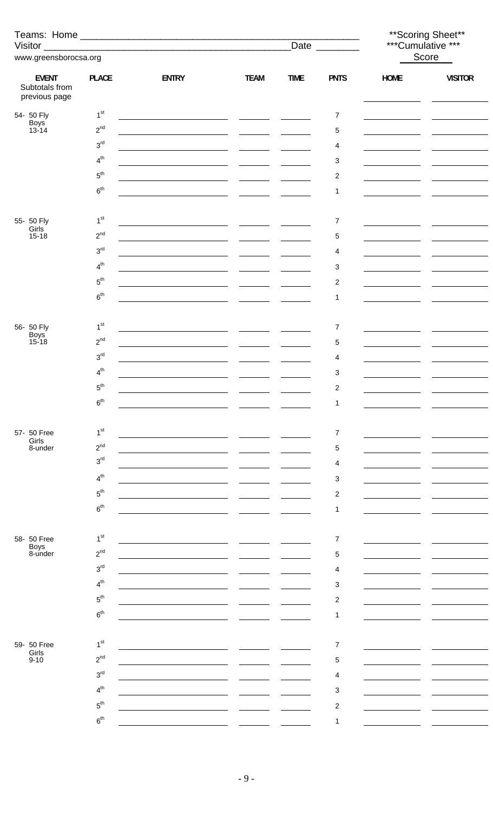|                                                 |                 |                                                                                                                       |                                                                     |             |                     | ** Scoring Sheet**<br>***Cumulative *** |                |  |
|-------------------------------------------------|-----------------|-----------------------------------------------------------------------------------------------------------------------|---------------------------------------------------------------------|-------------|---------------------|-----------------------------------------|----------------|--|
|                                                 |                 |                                                                                                                       |                                                                     |             | Date ________       |                                         | Score          |  |
| www.greensborocsa.org                           |                 |                                                                                                                       |                                                                     |             |                     |                                         |                |  |
| <b>EVENT</b><br>Subtotals from<br>previous page | <b>PLACE</b>    | <b>ENTRY</b>                                                                                                          | <b>TEAM</b>                                                         | <b>TIME</b> | <b>PNTS</b>         | <b>HOME</b>                             | <b>VISITOR</b> |  |
| 54- 50 Fly                                      | 1 <sup>st</sup> |                                                                                                                       |                                                                     |             | $\overline{7}$      |                                         |                |  |
| Boys<br>13-14                                   | $2^{nd}$        |                                                                                                                       |                                                                     |             | $\,$ 5 $\,$         | the control of the control of the       |                |  |
|                                                 | 3 <sup>rd</sup> |                                                                                                                       |                                                                     |             | $\overline{4}$      |                                         |                |  |
|                                                 | 4 <sup>th</sup> | <u> 1989 - Johann Marie Barn, mars an t-Amerikaansk konst</u>                                                         |                                                                     |             | 3                   |                                         |                |  |
|                                                 | $5^{\rm th}$    | <u> 1989 - Johann Marie Barn, mars eta inperiodo</u> r (h. 1918).                                                     |                                                                     |             | $\overline{c}$      | the control of the control of the       |                |  |
|                                                 | $6^{\text{th}}$ |                                                                                                                       |                                                                     |             | 1                   |                                         |                |  |
|                                                 |                 |                                                                                                                       |                                                                     |             |                     |                                         |                |  |
| 55- 50 Fly                                      | 1 <sup>st</sup> | <u> 1989 - Jan Sarah Barat, masjid a shekara ta 1989 - An an tsara tsara tsara tsara tsara tsara tsara tsara tsar</u> |                                                                     |             | $\overline{7}$      |                                         |                |  |
| Girls<br>$15 - 18$                              | $2^{nd}$        |                                                                                                                       |                                                                     |             | $\,$ 5 $\,$         |                                         |                |  |
|                                                 | 3 <sup>rd</sup> |                                                                                                                       |                                                                     |             | 4                   |                                         |                |  |
|                                                 | 4 <sup>th</sup> |                                                                                                                       |                                                                     |             | 3                   |                                         |                |  |
|                                                 | $5^{\rm th}$    |                                                                                                                       |                                                                     |             | $\overline{c}$      |                                         |                |  |
|                                                 | $6^{\text{th}}$ | <u> 1980 - Jan Barbara Barbara, maso a senso de la provincia de la provincia de la provincia de la provincia de</u>   |                                                                     |             | $\mathbf{1}$        |                                         |                |  |
|                                                 |                 | <u> 1980 - Andrea Andrew Maria (b. 1980)</u>                                                                          |                                                                     |             |                     |                                         |                |  |
| 56- 50 Fly                                      | 1 <sup>st</sup> |                                                                                                                       |                                                                     |             | 7                   |                                         |                |  |
| Boys<br>15-18                                   | $2^{nd}$        |                                                                                                                       |                                                                     |             | $\,$ 5 $\,$         |                                         |                |  |
|                                                 | 3 <sup>rd</sup> |                                                                                                                       |                                                                     |             | 4                   |                                         |                |  |
|                                                 | 4 <sup>th</sup> |                                                                                                                       | $\overline{\phantom{a}}$ . The contract of $\overline{\phantom{a}}$ |             | 3                   |                                         |                |  |
|                                                 | 5 <sup>th</sup> |                                                                                                                       |                                                                     |             |                     |                                         |                |  |
|                                                 | 6 <sup>th</sup> |                                                                                                                       |                                                                     |             | $\overline{c}$<br>1 |                                         |                |  |
|                                                 |                 |                                                                                                                       |                                                                     |             |                     |                                         |                |  |
| 57- 50 Free                                     | 1 <sup>st</sup> |                                                                                                                       |                                                                     |             | 7                   |                                         |                |  |
| Girls<br>8-under                                | $2^{nd}$        |                                                                                                                       |                                                                     |             |                     |                                         |                |  |
|                                                 | 3 <sup>rd</sup> |                                                                                                                       |                                                                     |             | 5                   |                                         |                |  |
|                                                 | 4 <sup>th</sup> |                                                                                                                       |                                                                     |             | 4                   |                                         |                |  |
|                                                 | $5^{\text{th}}$ |                                                                                                                       |                                                                     |             | 3                   |                                         |                |  |
|                                                 | 6 <sup>th</sup> |                                                                                                                       |                                                                     |             | $\overline{c}$      |                                         |                |  |
|                                                 |                 |                                                                                                                       |                                                                     |             | 1                   |                                         |                |  |
|                                                 | 1 <sup>st</sup> |                                                                                                                       |                                                                     |             |                     |                                         |                |  |
| 58- 50 Free<br>Boys<br>8-under                  | $2^{nd}$        |                                                                                                                       |                                                                     |             | 7                   |                                         |                |  |
|                                                 |                 |                                                                                                                       |                                                                     |             | 5                   |                                         |                |  |
|                                                 | 3 <sup>rd</sup> |                                                                                                                       |                                                                     |             | 4                   |                                         |                |  |
|                                                 | 4 <sup>th</sup> |                                                                                                                       |                                                                     |             | 3                   |                                         |                |  |
|                                                 | $5^{\text{th}}$ |                                                                                                                       |                                                                     |             | $\overline{c}$      |                                         |                |  |
|                                                 | 6 <sup>th</sup> |                                                                                                                       |                                                                     |             | 1                   |                                         |                |  |
|                                                 |                 |                                                                                                                       |                                                                     |             |                     |                                         |                |  |
| 59- 50 Free<br>Girls                            | 1 <sup>st</sup> |                                                                                                                       |                                                                     |             | $\overline{7}$      |                                         |                |  |
| $9 - 10$                                        | $2^{nd}$        |                                                                                                                       |                                                                     |             | 5                   |                                         |                |  |
|                                                 | 3 <sup>rd</sup> |                                                                                                                       |                                                                     |             | 4                   |                                         |                |  |
|                                                 | 4 <sup>th</sup> |                                                                                                                       |                                                                     |             | 3                   |                                         |                |  |
|                                                 | $5^{\text{th}}$ |                                                                                                                       |                                                                     |             | $\overline{c}$      |                                         |                |  |
|                                                 | 6 <sup>th</sup> |                                                                                                                       |                                                                     |             | 1                   |                                         |                |  |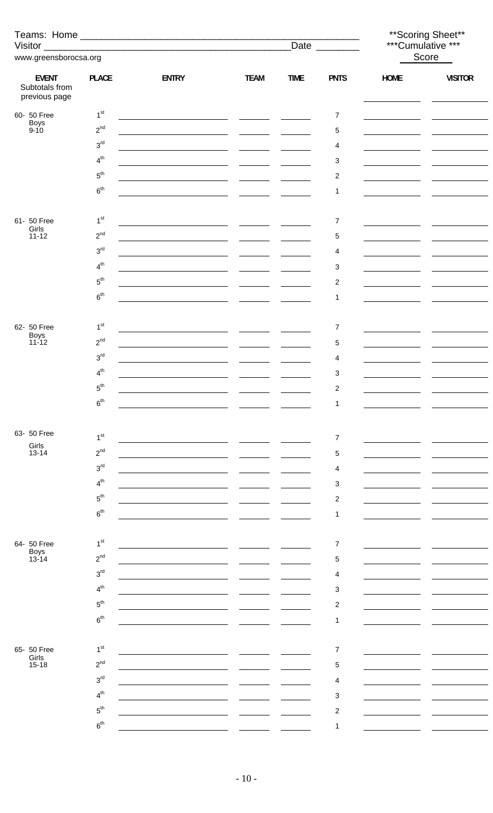|                                |                                    |                                                                                                                       |             | Date ________                                                       |                              |                                         | ** Scoring Sheet**<br>***Cumulative *** |
|--------------------------------|------------------------------------|-----------------------------------------------------------------------------------------------------------------------|-------------|---------------------------------------------------------------------|------------------------------|-----------------------------------------|-----------------------------------------|
| www.greensborocsa.org          |                                    |                                                                                                                       |             |                                                                     |                              | Score                                   |                                         |
| <b>EVENT</b><br>Subtotals from | <b>PLACE</b>                       | <b>ENTRY</b>                                                                                                          | <b>TEAM</b> | <b>TIME</b>                                                         | <b>PNTS</b>                  | <b>HOME</b>                             | <b>VISITOR</b>                          |
| previous page                  |                                    |                                                                                                                       |             |                                                                     |                              |                                         |                                         |
| 60- 50 Free<br>Boys<br>9-10    | 1 <sup>st</sup>                    |                                                                                                                       |             |                                                                     | $\overline{7}$               |                                         |                                         |
|                                | $2^{nd}$<br>3 <sup>rd</sup>        |                                                                                                                       |             | $\frac{1}{2}$ and $\frac{1}{2}$ and $\frac{1}{2}$ and $\frac{1}{2}$ | 5                            | <u> 1989 - Johann Barbara, martin a</u> |                                         |
|                                | 4 <sup>th</sup>                    |                                                                                                                       |             |                                                                     | 4                            |                                         |                                         |
|                                | $5^{\text{th}}$                    |                                                                                                                       |             |                                                                     | 3                            |                                         |                                         |
|                                | 6 <sup>th</sup>                    | <u> 1989 - Johann Marie Barn, mars an t-Amerikaansk konst</u>                                                         |             |                                                                     | $\overline{\mathbf{c}}$<br>1 |                                         |                                         |
|                                |                                    | <u> 1989 - Jan Salaman, masjid al-Amerikaan (</u>                                                                     |             |                                                                     |                              |                                         |                                         |
| 61- 50 Free                    | 1 <sup>st</sup>                    |                                                                                                                       |             |                                                                     | $\overline{7}$               |                                         |                                         |
| Girls<br>$11 - 12$             | $2^{nd}$                           |                                                                                                                       |             |                                                                     | 5                            | the company of the company of           |                                         |
|                                | $3^{\text{rd}}$                    |                                                                                                                       |             | $\frac{1}{1}$                                                       | 4                            |                                         |                                         |
|                                | 4 <sup>th</sup>                    |                                                                                                                       |             |                                                                     | 3                            |                                         |                                         |
|                                | $5^{\text{th}}$                    |                                                                                                                       |             |                                                                     | 2                            |                                         |                                         |
|                                | $6^{\text{th}}$                    | <u> 1989 - Johann Harry Harry Harry Harry Harry Harry Harry Harry Harry Harry Harry Harry Harry Harry Harry Harry</u> |             |                                                                     | 1                            |                                         |                                         |
|                                |                                    |                                                                                                                       |             |                                                                     |                              |                                         |                                         |
| 62- 50 Free                    | 1 <sup>st</sup>                    | <u> 1989 - Johann Barnett, fransk politik (d. 1989)</u>                                                               |             | $\frac{1}{2}$ and $\frac{1}{2}$ and $\frac{1}{2}$ and $\frac{1}{2}$ | 7                            |                                         |                                         |
| Boys<br>11-12                  | $2^{nd}$                           |                                                                                                                       |             |                                                                     | 5                            | the control of the control of the       |                                         |
|                                | $3^{\text{rd}}$                    |                                                                                                                       |             | $\frac{1}{1}$                                                       | 4                            |                                         |                                         |
|                                | 4 <sup>th</sup>                    |                                                                                                                       |             |                                                                     | 3                            |                                         |                                         |
|                                | $5^{\rm th}$                       |                                                                                                                       |             |                                                                     | $\overline{c}$               |                                         |                                         |
|                                | $6^{\text{th}}$                    |                                                                                                                       |             |                                                                     | 1                            |                                         |                                         |
|                                |                                    |                                                                                                                       |             |                                                                     |                              |                                         |                                         |
| 63- 50 Free                    | 1 <sup>st</sup>                    |                                                                                                                       |             |                                                                     | 7                            |                                         |                                         |
| Girls<br>$13 - 14$             | $2^{nd}$                           |                                                                                                                       |             |                                                                     | 5                            |                                         |                                         |
|                                | 3 <sup>rd</sup>                    |                                                                                                                       |             |                                                                     | 4                            |                                         |                                         |
|                                | 4 <sup>th</sup>                    |                                                                                                                       |             |                                                                     | 3                            |                                         |                                         |
|                                | $5^{\text{th}}$                    |                                                                                                                       |             |                                                                     | 2                            |                                         |                                         |
|                                | 6 <sup>th</sup>                    |                                                                                                                       |             |                                                                     | 1                            |                                         |                                         |
|                                |                                    |                                                                                                                       |             |                                                                     |                              |                                         |                                         |
| 64- 50 Free<br>Boys<br>13-14   | 1 <sup>st</sup>                    |                                                                                                                       |             |                                                                     | 7                            |                                         |                                         |
|                                | $2^{nd}$                           |                                                                                                                       |             |                                                                     | 5                            |                                         |                                         |
|                                | 3 <sup>rd</sup>                    |                                                                                                                       |             |                                                                     | 4                            |                                         |                                         |
|                                | 4 <sup>th</sup>                    |                                                                                                                       |             |                                                                     | 3                            |                                         |                                         |
|                                | 5 <sup>th</sup><br>6 <sup>th</sup> |                                                                                                                       |             |                                                                     | $\overline{\mathbf{c}}$      |                                         |                                         |
|                                |                                    |                                                                                                                       |             |                                                                     | 1                            |                                         |                                         |
| 65- 50 Free                    | 1 <sup>st</sup>                    |                                                                                                                       |             |                                                                     | 7                            |                                         |                                         |
| Girls<br>$15 - 18$             | $2^{nd}$                           |                                                                                                                       |             |                                                                     | 5                            |                                         |                                         |
|                                | 3 <sup>rd</sup>                    |                                                                                                                       |             |                                                                     | 4                            |                                         |                                         |
|                                | 4 <sup>th</sup>                    |                                                                                                                       |             |                                                                     | 3                            |                                         |                                         |
|                                | $5^{\text{th}}$                    |                                                                                                                       |             |                                                                     | 2                            |                                         |                                         |
|                                | 6 <sup>th</sup>                    |                                                                                                                       |             |                                                                     | 1                            |                                         |                                         |
|                                |                                    |                                                                                                                       |             |                                                                     |                              |                                         |                                         |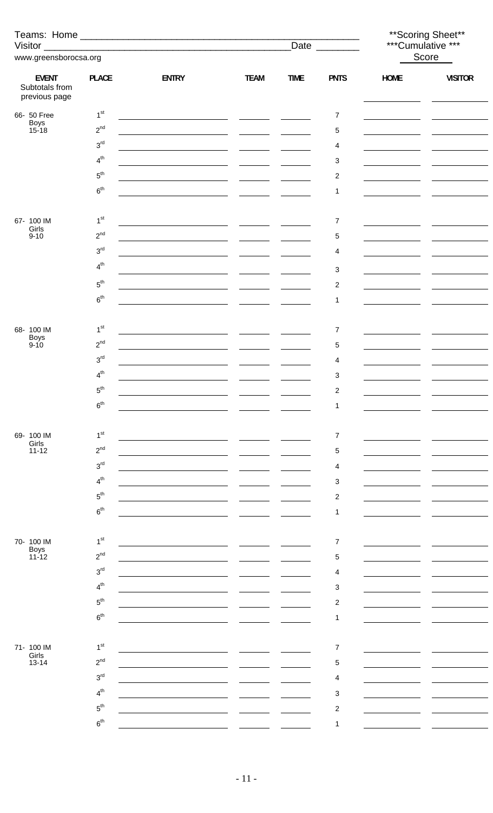|                                                 |                    |                                                                                                                       |                                                           |               |                          | ** Scoring Sheet**<br>***Cumulative ***             |                |  |
|-------------------------------------------------|--------------------|-----------------------------------------------------------------------------------------------------------------------|-----------------------------------------------------------|---------------|--------------------------|-----------------------------------------------------|----------------|--|
| www.greensborocsa.org                           |                    |                                                                                                                       |                                                           |               | Date ________            | Score                                               |                |  |
|                                                 |                    |                                                                                                                       |                                                           |               |                          |                                                     |                |  |
| <b>EVENT</b><br>Subtotals from<br>previous page | <b>PLACE</b>       | <b>ENTRY</b>                                                                                                          | <b>TEAM</b>                                               | <b>TIME</b>   | <b>PNTS</b>              | <b>HOME</b>                                         | <b>VISITOR</b> |  |
| 66- 50 Free                                     | 1 <sup>st</sup>    | <u> 1989 - Johann Marie Barn, mars an t-Amerikaansk konst</u>                                                         |                                                           |               | $\overline{7}$           |                                                     |                |  |
| Boys<br>15-18                                   | $2^{nd}$           |                                                                                                                       |                                                           |               | $\,$ 5 $\,$              | <u> 1990 - John Barn Barn, amerikansk politiker</u> |                |  |
|                                                 | 3 <sup>rd</sup>    | <u> 1980 - Andrea Andrew Maria (h. 1980).</u><br>1900 - Andrew Maria (h. 1900).                                       |                                                           |               | 4                        |                                                     |                |  |
|                                                 | $4^{th}$           | <u> 1989 - Johann Marie Barn, mars eta inperiodo</u> r (h. 1918).                                                     |                                                           |               | 3                        |                                                     |                |  |
|                                                 | $5^{\rm th}$       | <u> 1989 - Johann Marie Barn, mars eta inperiodo</u>                                                                  |                                                           |               | $\overline{c}$           | <u> 1990 - John Barnett, francuski politik (</u>    |                |  |
|                                                 | $6^{\rm th}$       |                                                                                                                       |                                                           |               | 1                        |                                                     |                |  |
|                                                 |                    |                                                                                                                       |                                                           |               |                          |                                                     |                |  |
| 67- 100 IM<br>Girls                             | 1 <sup>st</sup>    |                                                                                                                       |                                                           |               | $\overline{7}$           |                                                     |                |  |
| $9 - 10$                                        | $2^{nd}$           |                                                                                                                       |                                                           |               | 5                        | <u> 1990 - John Barn Barn, amerikansk politiker</u> |                |  |
|                                                 | $3^{\text{rd}}$    |                                                                                                                       |                                                           | $\frac{1}{2}$ | 4                        |                                                     |                |  |
|                                                 | 4 <sup>th</sup>    |                                                                                                                       |                                                           |               | 3                        |                                                     |                |  |
|                                                 | $5^{\text{th}}$    |                                                                                                                       |                                                           |               | $\overline{c}$           | the control of the control of the                   |                |  |
|                                                 | $6^{\rm th}$       | <u> 1989 - Johann Barn, mars ann an t-Amhainn an t-Amhainn an t-Amhainn an t-Amhainn an t-Amhainn an t-Amhainn an</u> |                                                           |               | 1                        |                                                     |                |  |
|                                                 |                    |                                                                                                                       |                                                           |               |                          |                                                     |                |  |
| 68-100 IM                                       | 1 <sup>st</sup>    |                                                                                                                       |                                                           |               | $\overline{7}$           |                                                     |                |  |
| Boys<br>9-10                                    | $2^{nd}$           | <u> 1999 - Johann Marie Barn, mars eta inperiodo</u> r (h. 1920)                                                      |                                                           |               | $\,$ 5 $\,$              |                                                     |                |  |
|                                                 | 3 <sup>rd</sup>    | <u> 1989 - Johann Barbara, martin a</u>                                                                               | $\mathcal{L}_{\text{max}}$ and $\mathcal{L}_{\text{max}}$ |               | 4                        |                                                     |                |  |
|                                                 | $4^{th}$           |                                                                                                                       |                                                           |               | 3                        |                                                     |                |  |
|                                                 | ${\bf 5}^{\rm th}$ |                                                                                                                       |                                                           |               | $\mathcal{P}$            |                                                     |                |  |
|                                                 | 6 <sup>th</sup>    |                                                                                                                       |                                                           |               |                          |                                                     |                |  |
|                                                 |                    |                                                                                                                       |                                                           |               |                          |                                                     |                |  |
| 69- 100 IM<br>Girls                             | 1 <sup>st</sup>    |                                                                                                                       |                                                           |               | $\overline{\mathcal{I}}$ |                                                     |                |  |
| $11 - 12$                                       | $2^{nd}$           |                                                                                                                       |                                                           |               | 5                        |                                                     |                |  |
|                                                 | 3 <sup>rd</sup>    |                                                                                                                       |                                                           |               | 4                        |                                                     |                |  |
|                                                 | 4 <sup>th</sup>    |                                                                                                                       |                                                           |               | 3                        |                                                     |                |  |
|                                                 | $5^{\text{th}}$    |                                                                                                                       |                                                           |               | $\overline{c}$           |                                                     |                |  |
|                                                 | 6 <sup>th</sup>    |                                                                                                                       |                                                           |               | 1                        |                                                     |                |  |
|                                                 |                    |                                                                                                                       |                                                           |               |                          |                                                     |                |  |
| 70- 100 IM<br>Boys<br>11-12                     | 1 <sup>st</sup>    |                                                                                                                       |                                                           |               | $\overline{7}$           |                                                     |                |  |
|                                                 | $2^{nd}$           |                                                                                                                       |                                                           |               | 5                        |                                                     |                |  |
|                                                 | 3 <sup>rd</sup>    |                                                                                                                       |                                                           |               | 4                        |                                                     |                |  |
|                                                 | 4 <sup>th</sup>    |                                                                                                                       |                                                           |               | 3                        |                                                     |                |  |
|                                                 | $5^{\text{th}}$    |                                                                                                                       |                                                           |               | $\overline{c}$           |                                                     |                |  |
|                                                 | 6 <sup>th</sup>    |                                                                                                                       |                                                           |               | 1                        |                                                     |                |  |
|                                                 | 1 <sup>st</sup>    |                                                                                                                       |                                                           |               |                          |                                                     |                |  |
| 71- 100 IM<br>Girls                             | $2^{nd}$           |                                                                                                                       |                                                           |               | $\overline{7}$           |                                                     |                |  |
| $13 - 14$                                       | 3 <sup>rd</sup>    |                                                                                                                       |                                                           |               | 5                        |                                                     |                |  |
|                                                 | 4 <sup>th</sup>    |                                                                                                                       |                                                           |               | 4                        |                                                     |                |  |
|                                                 | $5^{\text{th}}$    |                                                                                                                       |                                                           |               | 3                        |                                                     |                |  |
|                                                 | 6 <sup>th</sup>    |                                                                                                                       |                                                           |               | $\overline{c}$           |                                                     |                |  |
|                                                 |                    |                                                                                                                       |                                                           |               | 1                        |                                                     |                |  |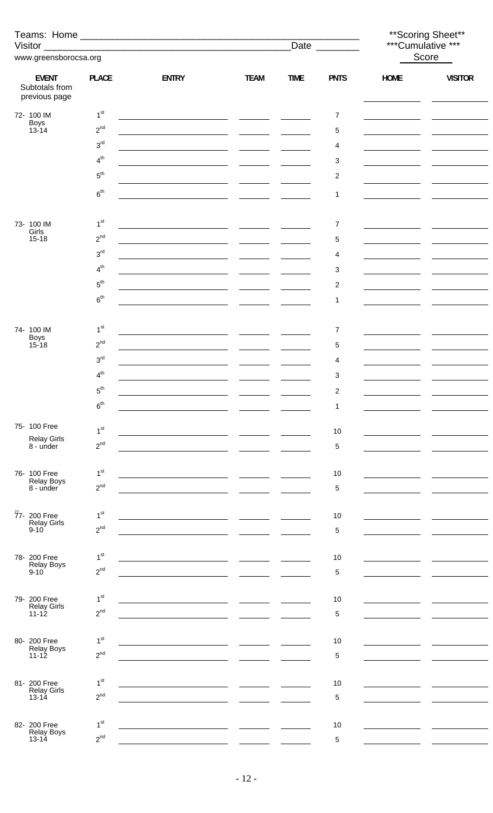|                                                 |                 |                                                                                                                     |                                                                                                                                                                                                                                      |                |                         | ** Scoring Sheet**<br>***Cumulative *** |                |  |
|-------------------------------------------------|-----------------|---------------------------------------------------------------------------------------------------------------------|--------------------------------------------------------------------------------------------------------------------------------------------------------------------------------------------------------------------------------------|----------------|-------------------------|-----------------------------------------|----------------|--|
| www.greensborocsa.org                           |                 |                                                                                                                     |                                                                                                                                                                                                                                      | Date _________ | Score                   |                                         |                |  |
| <b>EVENT</b><br>Subtotals from<br>previous page | <b>PLACE</b>    | <b>ENTRY</b>                                                                                                        | <b>TEAM</b>                                                                                                                                                                                                                          | <b>TIME</b>    | <b>PNTS</b>             | <b>HOME</b>                             | <b>VISITOR</b> |  |
| 72- 100 IM                                      | 1 <sup>st</sup> |                                                                                                                     |                                                                                                                                                                                                                                      |                | $\overline{7}$          |                                         |                |  |
| Boys<br>$13 - 14$                               | $2^{nd}$        |                                                                                                                     |                                                                                                                                                                                                                                      |                | 5                       |                                         |                |  |
|                                                 | 3 <sup>rd</sup> | <u> 1989 - John Stein, Amerikaansk politiker (</u>                                                                  | $\overline{\phantom{a}}$ and $\overline{\phantom{a}}$                                                                                                                                                                                |                | 4                       |                                         |                |  |
|                                                 | $4^{th}$        |                                                                                                                     |                                                                                                                                                                                                                                      |                | 3                       |                                         |                |  |
|                                                 | $5^{\rm th}$    |                                                                                                                     |                                                                                                                                                                                                                                      |                | $\overline{c}$          |                                         |                |  |
|                                                 | 6 <sup>th</sup> |                                                                                                                     |                                                                                                                                                                                                                                      |                |                         |                                         |                |  |
|                                                 |                 |                                                                                                                     |                                                                                                                                                                                                                                      |                | 1                       |                                         |                |  |
| 73- 100 IM                                      | 1 <sup>st</sup> |                                                                                                                     |                                                                                                                                                                                                                                      |                | $\overline{7}$          |                                         |                |  |
| Girls<br>$15 - 18$                              | $2^{nd}$        | <u> 1990 - Jan James James, politik eta politik eta politikaria (h. 1900).</u>                                      |                                                                                                                                                                                                                                      |                | $\mathbf 5$             |                                         |                |  |
|                                                 | 3 <sup>rd</sup> |                                                                                                                     | <b>Contract Contract Contract</b>                                                                                                                                                                                                    |                | 4                       |                                         |                |  |
|                                                 | $4^{th}$        | <u> 1989 - Johann Barnett, fransk politiker (</u>                                                                   |                                                                                                                                                                                                                                      |                | 3                       |                                         |                |  |
|                                                 | $5^{\rm th}$    |                                                                                                                     |                                                                                                                                                                                                                                      |                | $\overline{\mathbf{c}}$ |                                         |                |  |
|                                                 | $6^{\rm th}$    | <u> 1989 - Johann Barbara, martxa alemaniar politik (</u>                                                           |                                                                                                                                                                                                                                      |                | 1                       |                                         |                |  |
|                                                 |                 |                                                                                                                     |                                                                                                                                                                                                                                      |                |                         |                                         |                |  |
| 74- 100 IM                                      | 1 <sup>st</sup> | <u> 1989 - Jan Samuel Barbara, margaret eta idazlea (h. 1918).</u>                                                  |                                                                                                                                                                                                                                      |                | $\overline{7}$          |                                         |                |  |
| Boys<br>$15 - 18$                               | $2^{nd}$        |                                                                                                                     |                                                                                                                                                                                                                                      |                | 5                       |                                         |                |  |
|                                                 | 3 <sup>rd</sup> | <u> 1989 - Johann Barn, amerikansk politiker (</u>                                                                  | <u> a serie de la provincia de la provincia de la provincia de la provincia de la provincia de la provincia de la p</u>                                                                                                              |                | 4                       |                                         |                |  |
|                                                 | $4^{th}$        |                                                                                                                     |                                                                                                                                                                                                                                      |                | 3                       |                                         |                |  |
|                                                 | $5^{\text{th}}$ |                                                                                                                     |                                                                                                                                                                                                                                      |                | $\mathcal{P}$           |                                         |                |  |
|                                                 | 6 <sup>th</sup> |                                                                                                                     |                                                                                                                                                                                                                                      |                | 1                       |                                         |                |  |
|                                                 |                 |                                                                                                                     |                                                                                                                                                                                                                                      |                |                         |                                         |                |  |
| 75- 100 Free<br><b>Relay Girls</b>              | 1 <sup>st</sup> |                                                                                                                     | <u> 1990 - Jan James James Jan James James James James James James James James James James James James James James</u>                                                                                                               |                | 10                      |                                         |                |  |
| 8 - under                                       | $2^{nd}$        |                                                                                                                     |                                                                                                                                                                                                                                      |                | 5                       |                                         |                |  |
|                                                 |                 |                                                                                                                     |                                                                                                                                                                                                                                      |                |                         |                                         |                |  |
| 76- 100 Free<br><b>Relay Boys</b>               | 1 <sup>st</sup> | the control of the control of the control of the control of the control of the control of                           | <u>and the state of the state</u>                                                                                                                                                                                                    |                | 10                      |                                         |                |  |
| 8 - under                                       | $2^{nd}$        |                                                                                                                     |                                                                                                                                                                                                                                      |                | 5                       |                                         |                |  |
| 77- 200 Free                                    | 1 <sup>st</sup> | <u>and the state of the state</u>                                                                                   |                                                                                                                                                                                                                                      |                | 10                      |                                         |                |  |
| <b>Relay Girls</b><br>$9 - 10$                  | $2^{nd}$        |                                                                                                                     | <u>and the state of the state of the state of the state of the state of the state of the state of the state of the state of the state of the state of the state of the state of the state of the state of the state of the state</u> |                | 5                       |                                         |                |  |
|                                                 |                 |                                                                                                                     |                                                                                                                                                                                                                                      |                |                         |                                         |                |  |
| 78- 200 Free                                    | 1 <sup>st</sup> | <u> 1989 - Johann John Stone, mars and de format and de format and de format and de format and de format and de</u> |                                                                                                                                                                                                                                      |                | 10                      |                                         |                |  |
| <b>Relay Boys</b><br>$9 - 10$                   | $2^{nd}$        |                                                                                                                     |                                                                                                                                                                                                                                      |                | 5                       |                                         |                |  |
|                                                 |                 |                                                                                                                     |                                                                                                                                                                                                                                      |                |                         |                                         |                |  |
| 79- 200 Free<br><b>Relay Girls</b>              | 1 <sup>st</sup> |                                                                                                                     |                                                                                                                                                                                                                                      |                | 10                      |                                         |                |  |
| $11 - 12$                                       | $2^{nd}$        |                                                                                                                     |                                                                                                                                                                                                                                      |                | 5                       |                                         |                |  |
|                                                 | 1 <sup>st</sup> |                                                                                                                     |                                                                                                                                                                                                                                      |                |                         |                                         |                |  |
| 80- 200 Free<br>Relay Boys<br>$11 - 12$         | $2^{nd}$        |                                                                                                                     | the company of the company of                                                                                                                                                                                                        |                | 10                      |                                         |                |  |
|                                                 |                 |                                                                                                                     |                                                                                                                                                                                                                                      |                | 5                       |                                         |                |  |
| 81- 200 Free                                    | 1 <sup>st</sup> |                                                                                                                     |                                                                                                                                                                                                                                      |                | 10                      |                                         |                |  |
| <b>Relay Girls</b><br>$13 - 14$                 | $2^{nd}$        |                                                                                                                     |                                                                                                                                                                                                                                      |                | 5                       |                                         |                |  |
|                                                 |                 |                                                                                                                     |                                                                                                                                                                                                                                      |                |                         |                                         |                |  |
| 82- 200 Free                                    | 1 <sup>st</sup> |                                                                                                                     |                                                                                                                                                                                                                                      |                | 10                      |                                         |                |  |
| <b>Relay Boys</b><br>$13 - 14$                  | $2^{nd}$        |                                                                                                                     |                                                                                                                                                                                                                                      |                | 5                       |                                         |                |  |